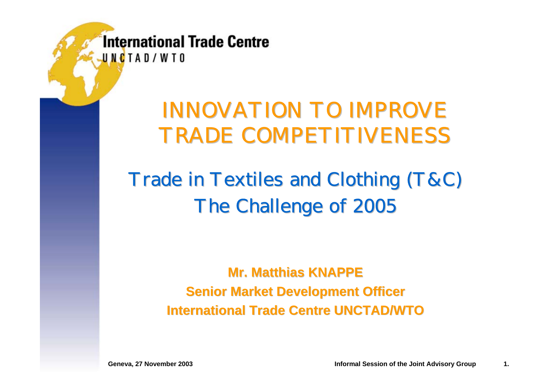### INNOVATION TO IMPROVE TRADE COMPETITIVENESS

### Trade in Textiles and Clothing (T&C) The Challenge of 2005

**Mr. Matthias KNAPPE Mr. Matthias KNAPPESenior Market Development Officer International Trade International Trade Centre UNCTAD/WTO UNCTAD/WTO**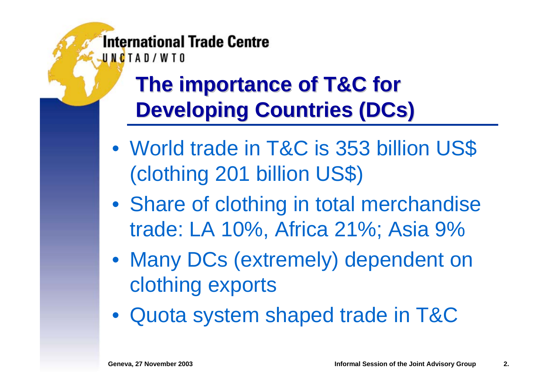## **The importance of T&C for Developing Countries (DCs)**

- $\bullet$  World trade in T&C is 353 billion US\$ (clothing 201 billion US\$)
- Share of clothing in total merchandise trade: LA 10%, Africa 21%; Asia 9%
- Many DCs (extremely) dependent on clothing exports
- Quota system shaped trade in T&C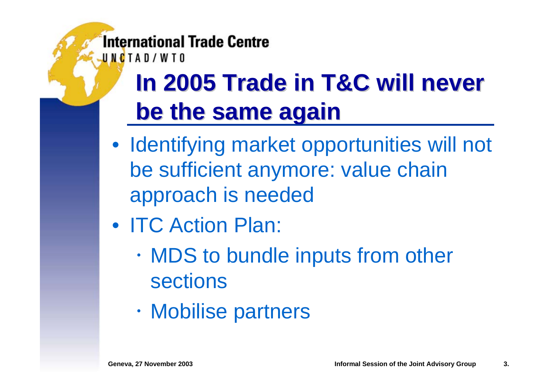UNCTAD/WTO

# **In 2005 Trade in T&C will never be the same again be the same again**

- Identifying market opportunities will not be sufficient anymore: value chain approach is needed
- ITC Action Plan:
	- $\bullet$  MDS to bundle inputs from other sections
	- $\bullet$ Mobilise partners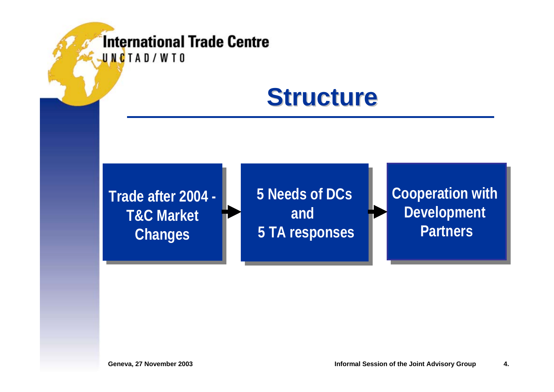### **Structure Structure**

**Trade after 2004 -Trade after 2004 - T&C MarketT&C Market Changes Changes**

**5 Needs of DCs5 Needs of DCs and and 5 TA responses 5 TA responses**

**Cooperation with Cooperation with Development Development Partners**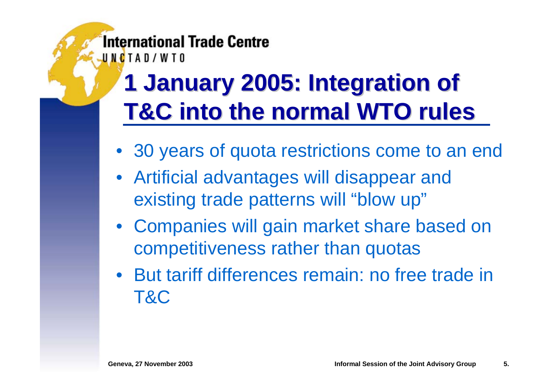# **1 January 2005: Integration of 1 January 2005: Integration of T&C into the normal WTO rules**

- 30 years of quota restrictions come to an end
- Artificial advantages will disappear and existing trade patterns will "blow up"
- Companies will gain market share based on competitiveness rather than quotas
- But tariff differences remain: no free trade in T&C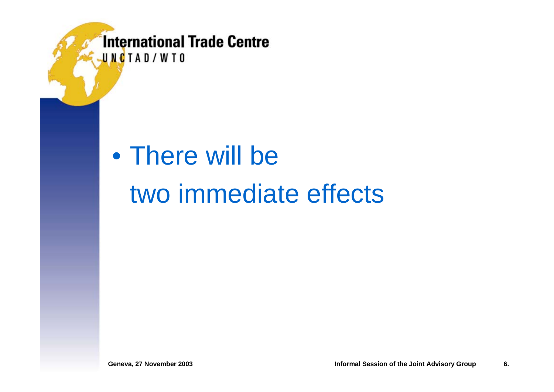UNCTAD/WTO

### • There will be two immediate effects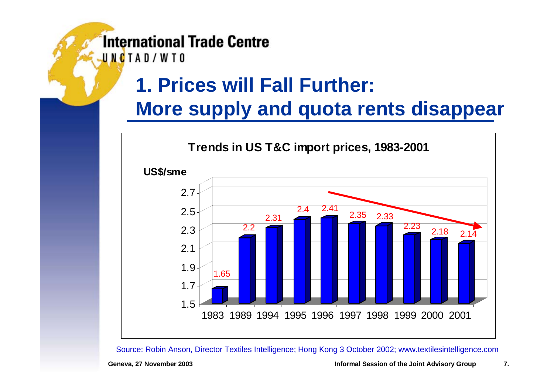UNCTAD/WTO

### **1. Prices will Fall Further:**

### **More supply and quota rents disappear**



Source: Robin Anson, Director Textiles Intelligence; Hong Kong 3 October 2002; www.textilesintelligence.com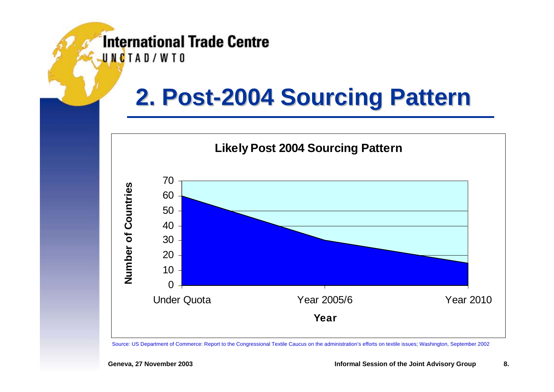UNCTAD/WTO

# **2. Post 2. Post -2004 Sourcing Pattern 2004 Sourcing Pattern**



Source: US Department of Commerce: Report to the Congressional Textile Caucus on the administration's efforts on textile issues; Washington, September 2002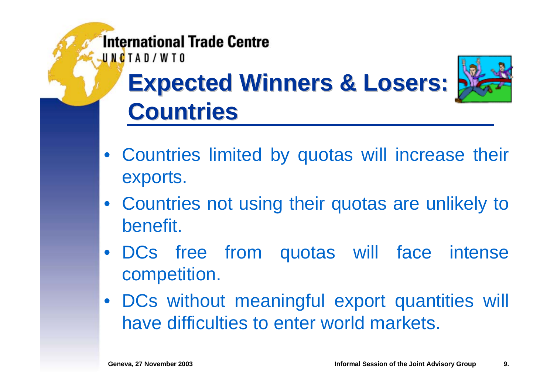UNCTAD/WTO

# **Expected Winners & Losers: Expected Winners & Losers: Countries Countries**



- Countries not using their quotas are unlikely to benefit.
- DCs free from quotas will face intense competition.
- DCs without meaningful export quantities will have difficulties to enter world markets.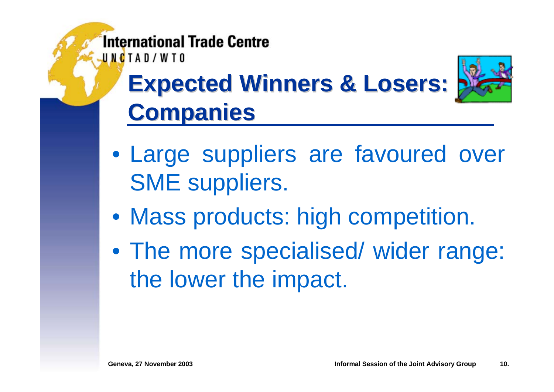UNCTAD/WTO

# **Expected Winners & Losers: Expected Winners & Losers: Companies Companies**



- Mass products: high competition.
- The more specialised/ wider range: the lower the impact.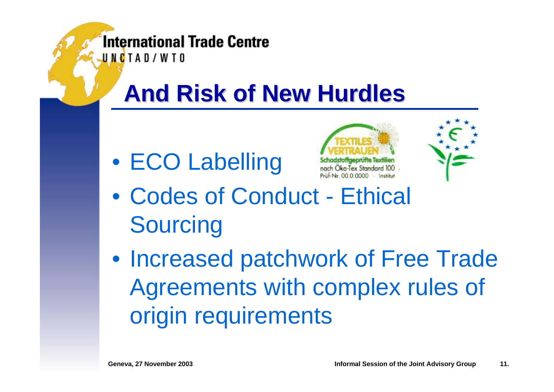UNCTAD/WTO

# **And Risk of New Hurdles And Risk of New Hurdles**

• ECO Labelling





• Codes of Conduct - Ethical **Sourcing** 

• Increased patchwork of Free Trade Agreements with complex rules of origin requirements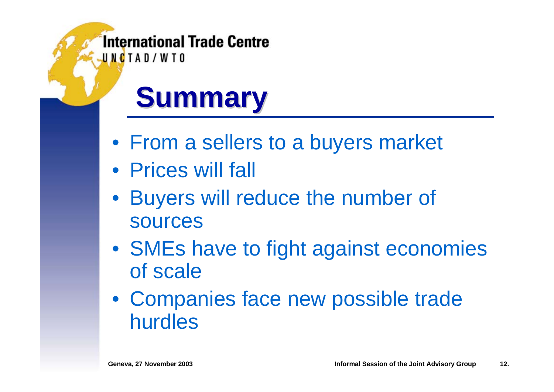UNCTAD/WTO

# **Summary Summary**

- From a sellers to a buyers market
- Prices will fall
- Buyers will reduce the number of sources
- SMEs have to fight against economies of scale
- Companies face new possible trade hurdles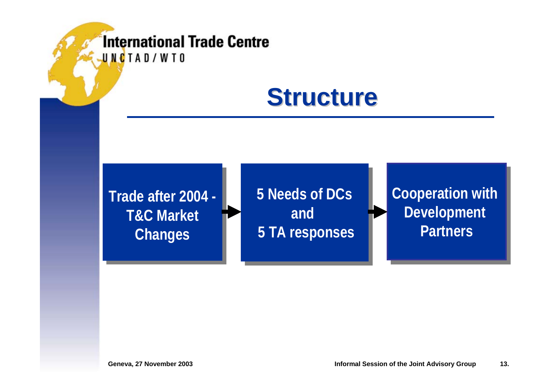### **Structure Structure**

**Trade after 2004 -Trade after 2004 - T&C MarketT&C Market Changes Changes**

**5 Needs of DCs5 Needs of DCs and and 5 TA responses 5 TA responses**

**Cooperation with Cooperation with Development Development Partners**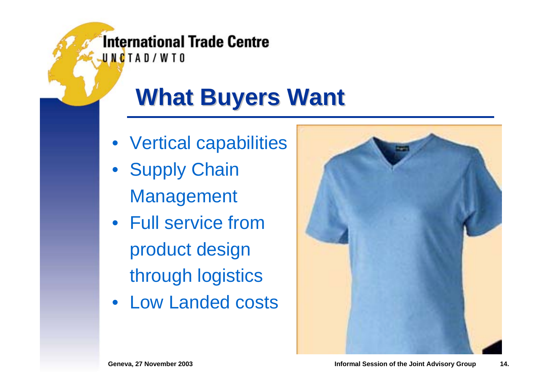**What Buyers Want** 

- Vertical capabilities
- Supply Chain Management
- Full service fromproduct design through logistics
- Low Landed costs

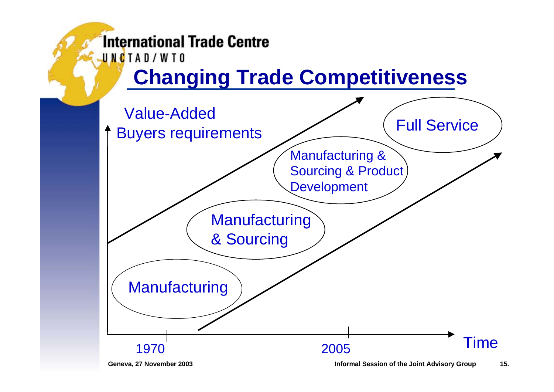UNCTAD/WTO

### **Changing Trade Competitiveness**

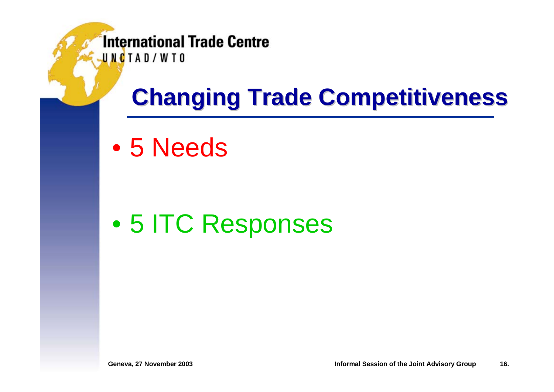UNCTAD/WTO

# **Changing Trade Competitiveness Changing Trade Competitiveness**

 $\bullet$ 5 Needs

 $\bullet$ 5 ITC Responses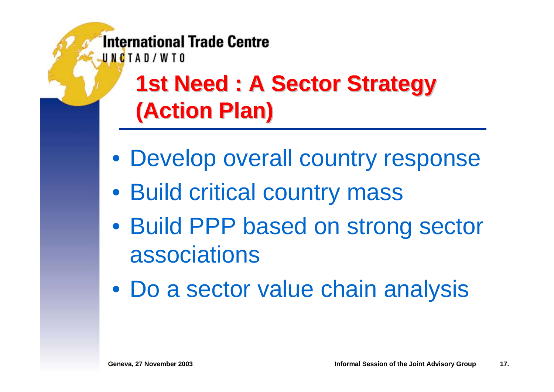> **1st Need 1st Need : A Sector Strategy : A Sector Strategy (Action Plan) (Action Plan)**

- Develop overall country response
- Build critical country mass
- Build PPP based on strong sector associations
- Do a sector value chain analysis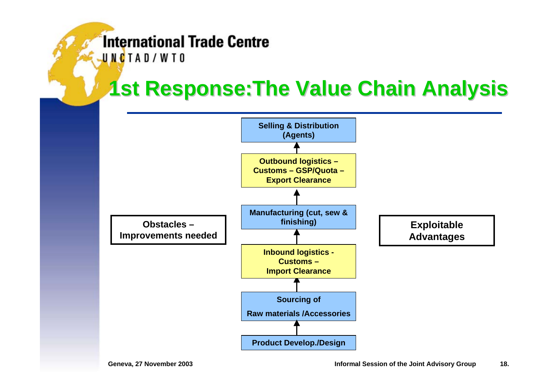UNCTAD/WTO

### **1st Response: The Value Chain Analysis**

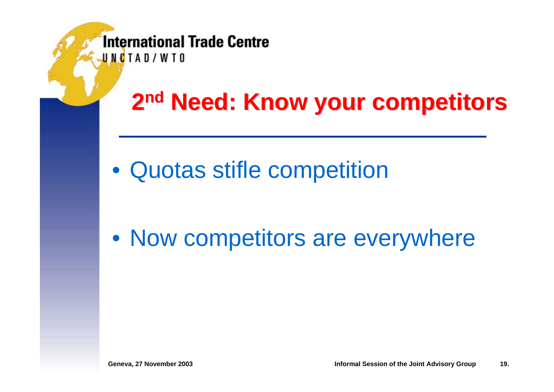# **2nd Need: Know your competitors**

• Quotas stifle competition

• Now competitors are everywhere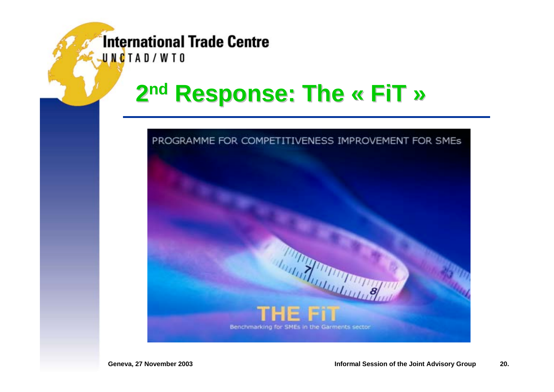UNCTAD/WTO

#### **2n<sup>d</sup> Response: The « Response: The « FiT »**

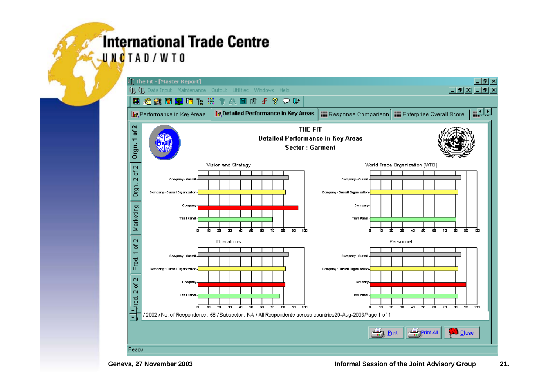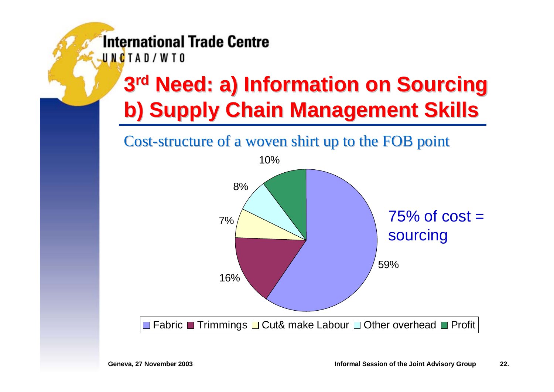UNCTAD/WTO

# **3<sup>rd</sup> Need: a) Information on Sourcing b) Supply Chain Management Skills b) Supply Chain Management Skills**

Cost-structure of a woven shirt up to the FOB point

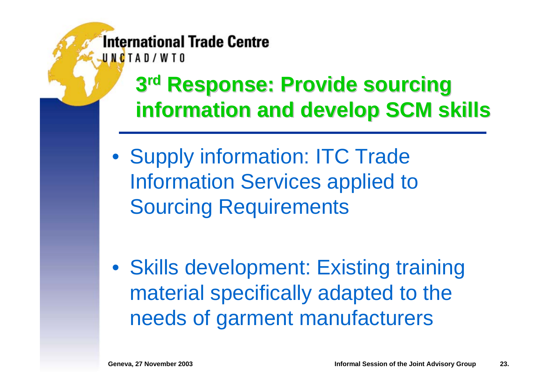### **3rd Response: Provide sourcing information and develop SCM skills information and develop SCM skills**

• Supply information: ITC Trade Information Services applied to Sourcing Requirements

• Skills development: Existing training material specifically adapted to the needs of garment manufacturers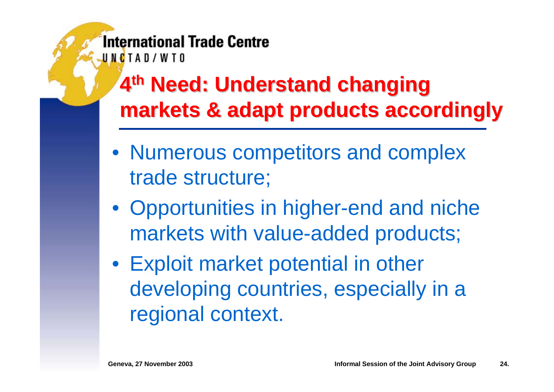> **4<sup>th</sup> Need: Understand changing markets & adapt products accordingly markets & adapt products accordingly**

- Numerous competitors and complex trade structure;
- Opportunities in higher-end and niche markets with value-added products;
- Exploit market potential in other developing countries, especially in a regional context.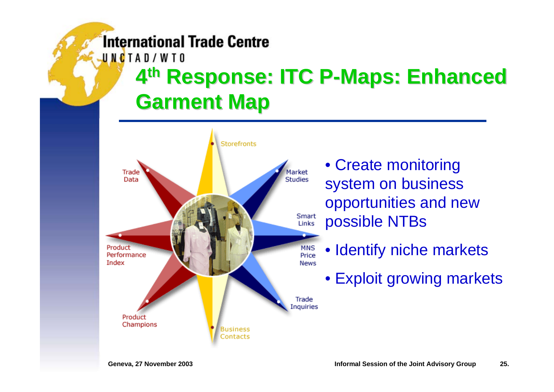UNCTAD/WTO

# **4th Response: ITC P Response: ITC P -Maps: Enhanced Maps: Enhanced Garment Map Garment Map**



• Create monitoring system on business opportunities and new possible NTBs

- Identify niche markets
	- Exploit growing markets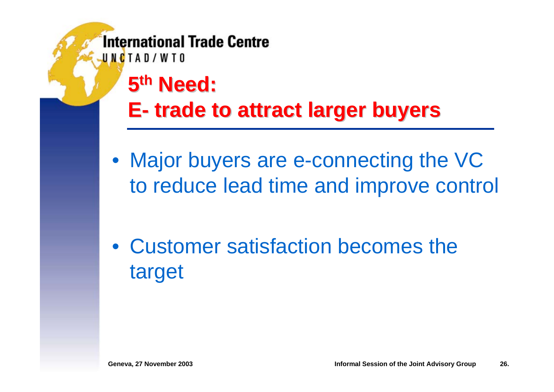UNCTAD/WTO

**5th Need:** 

#### **E trade to attract larger buyers trade to attract larger buyers**

• Major buyers are e-connecting the VC to reduce lead time and improve control

• Customer satisfaction becomes the target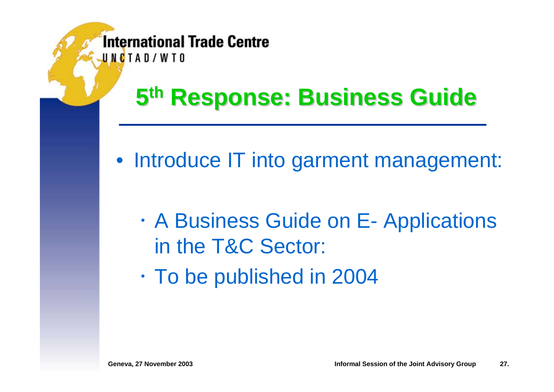# **5th Response: Business Guide Response: Business Guide**

- Introduce IT into garment management:
	- $\bullet$  A Business Guide on E- Applications in the T&C Sector:
	- $\bullet$  $\cdot$  To be published in 2004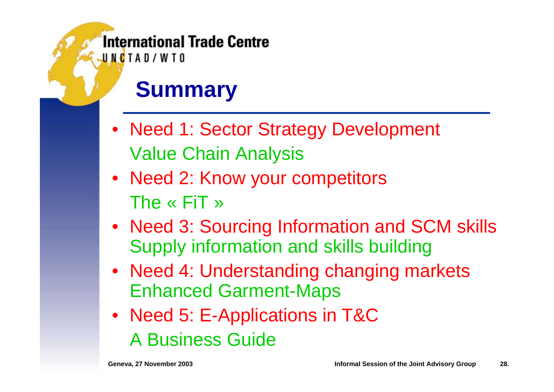UNCTAD/WTO

## **Summary**

- Need 1: Sector Strategy Development Value Chain Analysis
- Need 2: Know your competitors The « FiT »
- Need 3: Sourcing Information and SCM skills Supply information and skills building
- Need 4: Understanding changing markets Enhanced Garment-Maps
- Need 5: E-Applications in T&C A Business Guide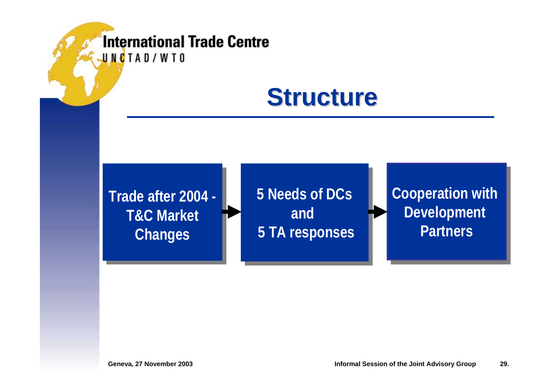### **Structure Structure**

**Trade after 2004 -Trade after 2004 - T&C MarketT&C Market Changes Changes**

**5 Needs of DCs5 Needs of DCs and and 5 TA responses 5 TA responses**

**Cooperation with Cooperation with Development Development Partners**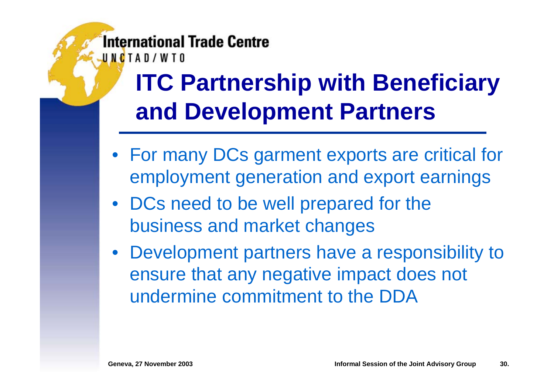**ITC Partnership with Beneficiary and Development Partners**

- For many DCs garment exports are critical for employment generation and export earnings
- DCs need to be well prepared for the business and market changes
- Development partners have a responsibility to ensure that any negative impact does not undermine commitment to the DDA